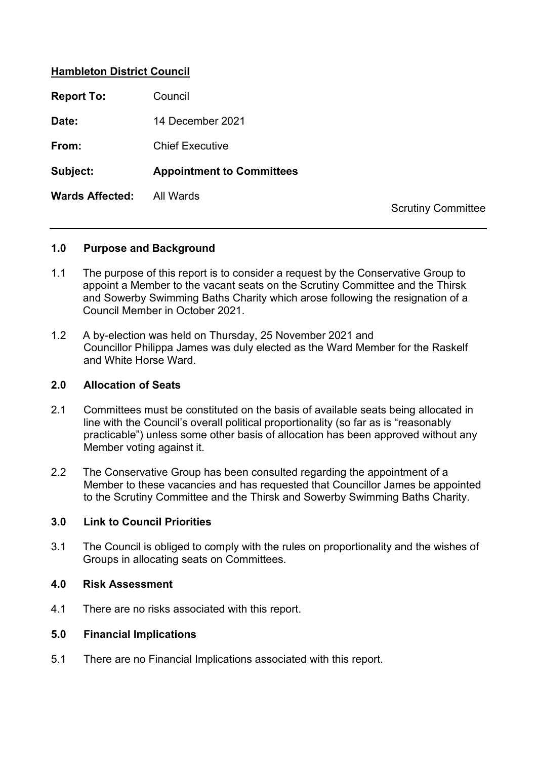# **Hambleton District Council**

| <b>Report To:</b>      | Council                          |
|------------------------|----------------------------------|
| Date:                  | 14 December 2021                 |
| From:                  | <b>Chief Executive</b>           |
| Subject:               | <b>Appointment to Committees</b> |
| <b>Wards Affected:</b> | All Wards                        |
|                        |                                  |

Scrutiny Committee

## **1.0 Purpose and Background**

- 1.1 The purpose of this report is to consider a request by the Conservative Group to appoint a Member to the vacant seats on the Scrutiny Committee and the Thirsk and Sowerby Swimming Baths Charity which arose following the resignation of a Council Member in October 2021.
- 1.2 A by-election was held on Thursday, 25 November 2021 and Councillor Philippa James was duly elected as the Ward Member for the Raskelf and White Horse Ward.

### **2.0 Allocation of Seats**

- 2.1 Committees must be constituted on the basis of available seats being allocated in line with the Council's overall political proportionality (so far as is "reasonably practicable") unless some other basis of allocation has been approved without any Member voting against it.
- 2.2 The Conservative Group has been consulted regarding the appointment of a Member to these vacancies and has requested that Councillor James be appointed to the Scrutiny Committee and the Thirsk and Sowerby Swimming Baths Charity.

## **3.0 Link to Council Priorities**

3.1 The Council is obliged to comply with the rules on proportionality and the wishes of Groups in allocating seats on Committees.

#### **4.0 Risk Assessment**

4.1 There are no risks associated with this report.

## **5.0 Financial Implications**

5.1 There are no Financial Implications associated with this report.